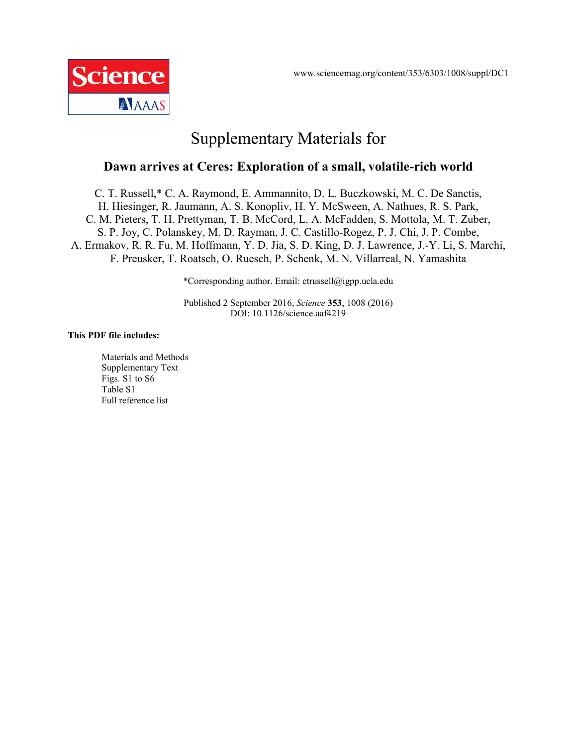

# Supplementary Materials for

# **Dawn arrives at Ceres: Exploration of a small, volatile-rich world**

C. T. Russell,\* C. A. Raymond, E. Ammannito, D. L. Buczkowski, M. C. De Sanctis, H. Hiesinger, R. Jaumann, A. S. Konopliv, H. Y. McSween, A. Nathues, R. S. Park, C. M. Pieters, T. H. Prettyman, T. B. McCord, L. A. McFadden, S. Mottola, M. T. Zuber, S. P. Joy, C. Polanskey, M. D. Rayman, J. C. Castillo-Rogez, P. J. Chi, J. P. Combe, A. Ermakov, R. R. Fu, M. Hoffmann, Y. D. Jia, S. D. King, D. J. Lawrence, J.-Y. Li, S. Marchi, F. Preusker, T. Roatsch, O. Ruesch, P. Schenk, M. N. Villarreal, N. Yamashita

\*Corresponding author. Email: ctrussell@igpp.ucla.edu

Published 2 September 2016, *Science* **353**, 1008 (2016) DOI: 10.1126/science.aaf4219

#### **This PDF file includes:**

Materials and Methods Supplementary Text Figs. S1 to S6 Table S1 Full reference list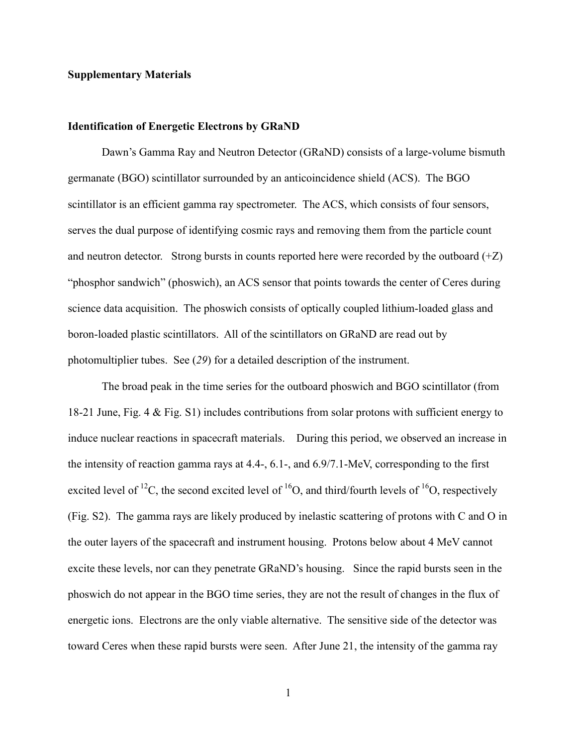## **Supplementary Materials**

#### **Identification of Energetic Electrons by GRaND**

Dawn's Gamma Ray and Neutron Detector (GRaND) consists of a large-volume bismuth germanate (BGO) scintillator surrounded by an anticoincidence shield (ACS). The BGO scintillator is an efficient gamma ray spectrometer. The ACS, which consists of four sensors, serves the dual purpose of identifying cosmic rays and removing them from the particle count and neutron detector. Strong bursts in counts reported here were recorded by the outboard  $(+Z)$ "phosphor sandwich" (phoswich), an ACS sensor that points towards the center of Ceres during science data acquisition. The phoswich consists of optically coupled lithium-loaded glass and boron-loaded plastic scintillators. All of the scintillators on GRaND are read out by photomultiplier tubes. See (*29*) for a detailed description of the instrument.

The broad peak in the time series for the outboard phoswich and BGO scintillator (from 18-21 June, Fig. 4 & Fig. S1) includes contributions from solar protons with sufficient energy to induce nuclear reactions in spacecraft materials. During this period, we observed an increase in the intensity of reaction gamma rays at 4.4-, 6.1-, and 6.9/7.1-MeV, corresponding to the first excited level of <sup>12</sup>C, the second excited level of <sup>16</sup>O, and third/fourth levels of <sup>16</sup>O, respectively (Fig. S2). The gamma rays are likely produced by inelastic scattering of protons with C and O in the outer layers of the spacecraft and instrument housing. Protons below about 4 MeV cannot excite these levels, nor can they penetrate GRaND's housing. Since the rapid bursts seen in the phoswich do not appear in the BGO time series, they are not the result of changes in the flux of energetic ions. Electrons are the only viable alternative. The sensitive side of the detector was toward Ceres when these rapid bursts were seen. After June 21, the intensity of the gamma ray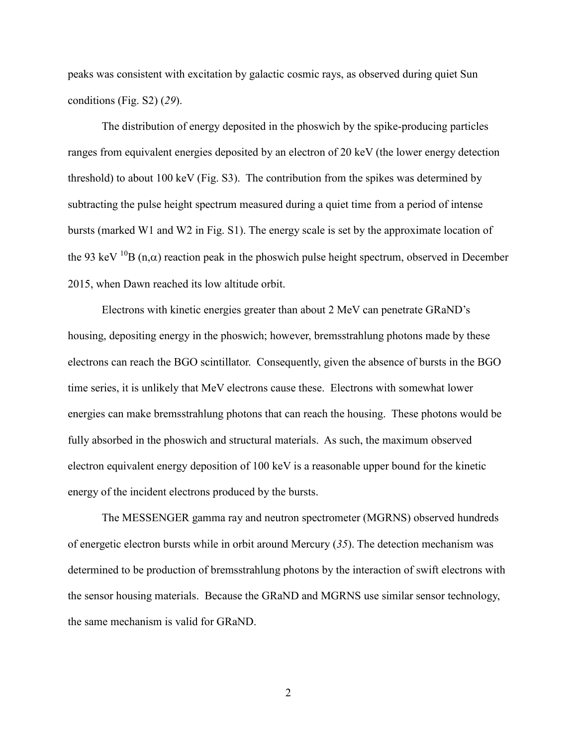peaks was consistent with excitation by galactic cosmic rays, as observed during quiet Sun conditions (Fig. S2) (*29*).

The distribution of energy deposited in the phoswich by the spike-producing particles ranges from equivalent energies deposited by an electron of 20 keV (the lower energy detection threshold) to about 100 keV (Fig. S3). The contribution from the spikes was determined by subtracting the pulse height spectrum measured during a quiet time from a period of intense bursts (marked W1 and W2 in Fig. S1). The energy scale is set by the approximate location of the 93 keV <sup>10</sup>B (n, $\alpha$ ) reaction peak in the phoswich pulse height spectrum, observed in December 2015, when Dawn reached its low altitude orbit.

Electrons with kinetic energies greater than about 2 MeV can penetrate GRaND's housing, depositing energy in the phoswich; however, bremsstrahlung photons made by these electrons can reach the BGO scintillator. Consequently, given the absence of bursts in the BGO time series, it is unlikely that MeV electrons cause these. Electrons with somewhat lower energies can make bremsstrahlung photons that can reach the housing. These photons would be fully absorbed in the phoswich and structural materials. As such, the maximum observed electron equivalent energy deposition of 100 keV is a reasonable upper bound for the kinetic energy of the incident electrons produced by the bursts.

The MESSENGER gamma ray and neutron spectrometer (MGRNS) observed hundreds of energetic electron bursts while in orbit around Mercury (*35*). The detection mechanism was determined to be production of bremsstrahlung photons by the interaction of swift electrons with the sensor housing materials. Because the GRaND and MGRNS use similar sensor technology, the same mechanism is valid for GRaND.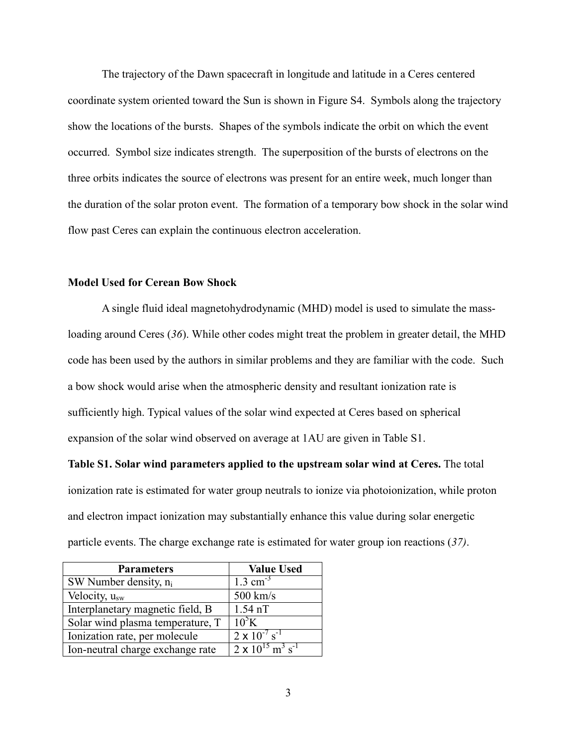The trajectory of the Dawn spacecraft in longitude and latitude in a Ceres centered coordinate system oriented toward the Sun is shown in Figure S4. Symbols along the trajectory show the locations of the bursts. Shapes of the symbols indicate the orbit on which the event occurred. Symbol size indicates strength. The superposition of the bursts of electrons on the three orbits indicates the source of electrons was present for an entire week, much longer than the duration of the solar proton event. The formation of a temporary bow shock in the solar wind flow past Ceres can explain the continuous electron acceleration.

## **Model Used for Cerean Bow Shock**

A single fluid ideal magnetohydrodynamic (MHD) model is used to simulate the massloading around Ceres (*36*). While other codes might treat the problem in greater detail, the MHD code has been used by the authors in similar problems and they are familiar with the code. Such a bow shock would arise when the atmospheric density and resultant ionization rate is sufficiently high. Typical values of the solar wind expected at Ceres based on spherical expansion of the solar wind observed on average at 1AU are given in Table S1.

**Table S1. Solar wind parameters applied to the upstream solar wind at Ceres.** The total ionization rate is estimated for water group neutrals to ionize via photoionization, while proton and electron impact ionization may substantially enhance this value during solar energetic particle events. The charge exchange rate is estimated for water group ion reactions (*37)*.

| <b>Parameters</b>                | <b>Value Used</b>                                 |
|----------------------------------|---------------------------------------------------|
| SW Number density, $n_i$         | $1.3 \text{ cm}^{-3}$                             |
| Velocity, $u_{sw}$               | $500$ km/s                                        |
| Interplanetary magnetic field, B | $1.54$ nT                                         |
| Solar wind plasma temperature, T | $10^5$ K                                          |
| Ionization rate, per molecule    | $2 \times 10^{-7}$ s <sup>-1</sup>                |
| Ion-neutral charge exchange rate | $2 \times 10^{15}$ m <sup>3</sup> s <sup>-1</sup> |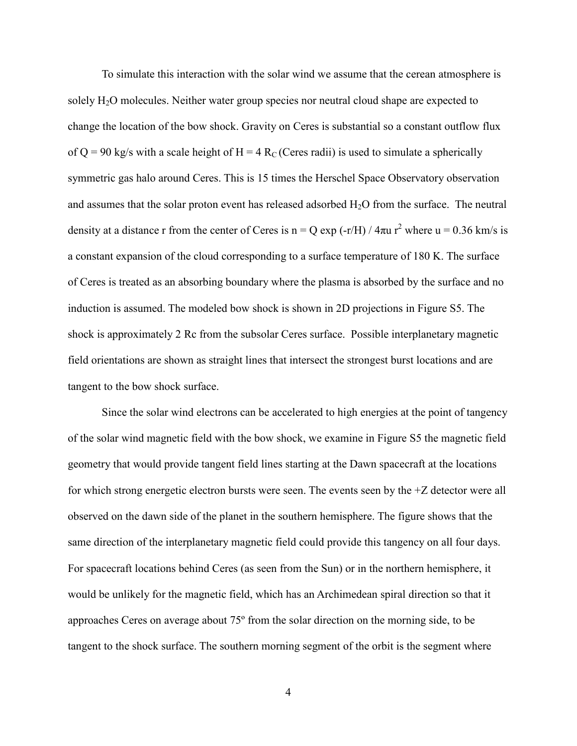To simulate this interaction with the solar wind we assume that the cerean atmosphere is solely H<sub>2</sub>O molecules. Neither water group species nor neutral cloud shape are expected to change the location of the bow shock. Gravity on Ceres is substantial so a constant outflow flux of Q = 90 kg/s with a scale height of H = 4 R<sub>C</sub> (Ceres radii) is used to simulate a spherically symmetric gas halo around Ceres. This is 15 times the Herschel Space Observatory observation and assumes that the solar proton event has released adsorbed  $H_2O$  from the surface. The neutral density at a distance r from the center of Ceres is n = Q exp (-r/H) /  $4\pi u$  r<sup>2</sup> where u = 0.36 km/s is a constant expansion of the cloud corresponding to a surface temperature of 180 K. The surface of Ceres is treated as an absorbing boundary where the plasma is absorbed by the surface and no induction is assumed. The modeled bow shock is shown in 2D projections in Figure S5. The shock is approximately 2 Rc from the subsolar Ceres surface. Possible interplanetary magnetic field orientations are shown as straight lines that intersect the strongest burst locations and are tangent to the bow shock surface.

Since the solar wind electrons can be accelerated to high energies at the point of tangency of the solar wind magnetic field with the bow shock, we examine in Figure S5 the magnetic field geometry that would provide tangent field lines starting at the Dawn spacecraft at the locations for which strong energetic electron bursts were seen. The events seen by the +Z detector were all observed on the dawn side of the planet in the southern hemisphere. The figure shows that the same direction of the interplanetary magnetic field could provide this tangency on all four days. For spacecraft locations behind Ceres (as seen from the Sun) or in the northern hemisphere, it would be unlikely for the magnetic field, which has an Archimedean spiral direction so that it approaches Ceres on average about 75º from the solar direction on the morning side, to be tangent to the shock surface. The southern morning segment of the orbit is the segment where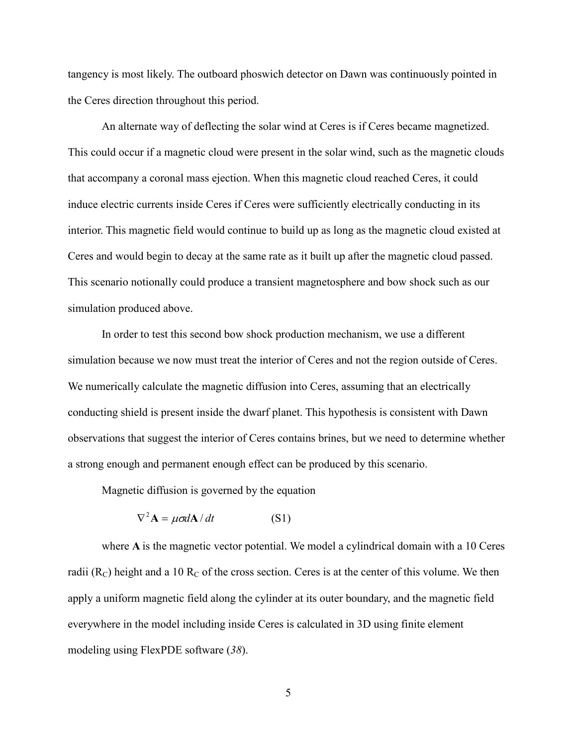tangency is most likely. The outboard phoswich detector on Dawn was continuously pointed in the Ceres direction throughout this period.

An alternate way of deflecting the solar wind at Ceres is if Ceres became magnetized. This could occur if a magnetic cloud were present in the solar wind, such as the magnetic clouds that accompany a coronal mass ejection. When this magnetic cloud reached Ceres, it could induce electric currents inside Ceres if Ceres were sufficiently electrically conducting in its interior. This magnetic field would continue to build up as long as the magnetic cloud existed at Ceres and would begin to decay at the same rate as it built up after the magnetic cloud passed. This scenario notionally could produce a transient magnetosphere and bow shock such as our simulation produced above.

In order to test this second bow shock production mechanism, we use a different simulation because we now must treat the interior of Ceres and not the region outside of Ceres. We numerically calculate the magnetic diffusion into Ceres, assuming that an electrically conducting shield is present inside the dwarf planet. This hypothesis is consistent with Dawn observations that suggest the interior of Ceres contains brines, but we need to determine whether a strong enough and permanent enough effect can be produced by this scenario.

Magnetic diffusion is governed by the equation

$$
\nabla^2 \mathbf{A} = \mu \sigma d\mathbf{A} / dt \tag{S1}
$$

where **A** is the magnetic vector potential. We model a cylindrical domain with a 10 Ceres radii  $(R_C)$  height and a 10  $R_C$  of the cross section. Ceres is at the center of this volume. We then apply a uniform magnetic field along the cylinder at its outer boundary, and the magnetic field everywhere in the model including inside Ceres is calculated in 3D using finite element modeling using FlexPDE software (*38*).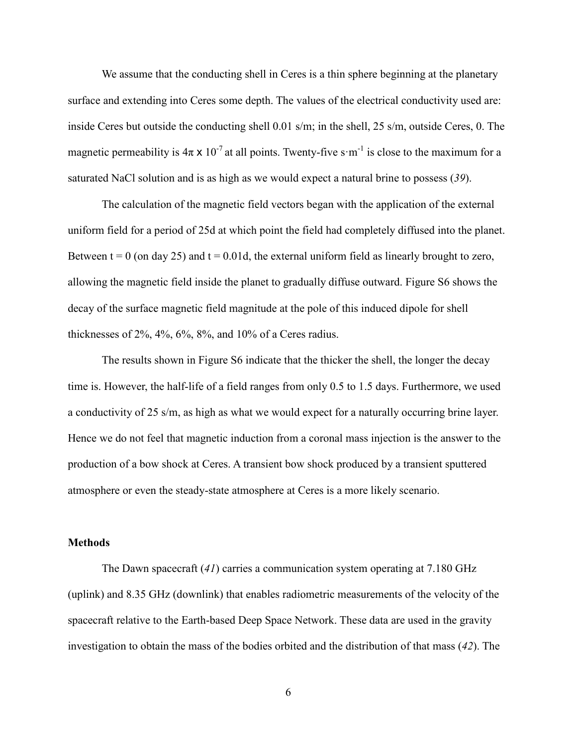We assume that the conducting shell in Ceres is a thin sphere beginning at the planetary surface and extending into Ceres some depth. The values of the electrical conductivity used are: inside Ceres but outside the conducting shell 0.01 s/m; in the shell, 25 s/m, outside Ceres, 0. The magnetic permeability is  $4\pi \times 10^{-7}$  at all points. Twenty-five s·m<sup>-1</sup> is close to the maximum for a saturated NaCl solution and is as high as we would expect a natural brine to possess (*39*).

The calculation of the magnetic field vectors began with the application of the external uniform field for a period of 25d at which point the field had completely diffused into the planet. Between  $t = 0$  (on day 25) and  $t = 0.01d$ , the external uniform field as linearly brought to zero, allowing the magnetic field inside the planet to gradually diffuse outward. Figure S6 shows the decay of the surface magnetic field magnitude at the pole of this induced dipole for shell thicknesses of 2%, 4%, 6%, 8%, and 10% of a Ceres radius.

The results shown in Figure S6 indicate that the thicker the shell, the longer the decay time is. However, the half-life of a field ranges from only 0.5 to 1.5 days. Furthermore, we used a conductivity of 25 s/m, as high as what we would expect for a naturally occurring brine layer. Hence we do not feel that magnetic induction from a coronal mass injection is the answer to the production of a bow shock at Ceres. A transient bow shock produced by a transient sputtered atmosphere or even the steady-state atmosphere at Ceres is a more likely scenario.

#### **Methods**

The Dawn spacecraft (*41*) carries a communication system operating at 7.180 GHz (uplink) and 8.35 GHz (downlink) that enables radiometric measurements of the velocity of the spacecraft relative to the Earth-based Deep Space Network. These data are used in the gravity investigation to obtain the mass of the bodies orbited and the distribution of that mass (*42*). The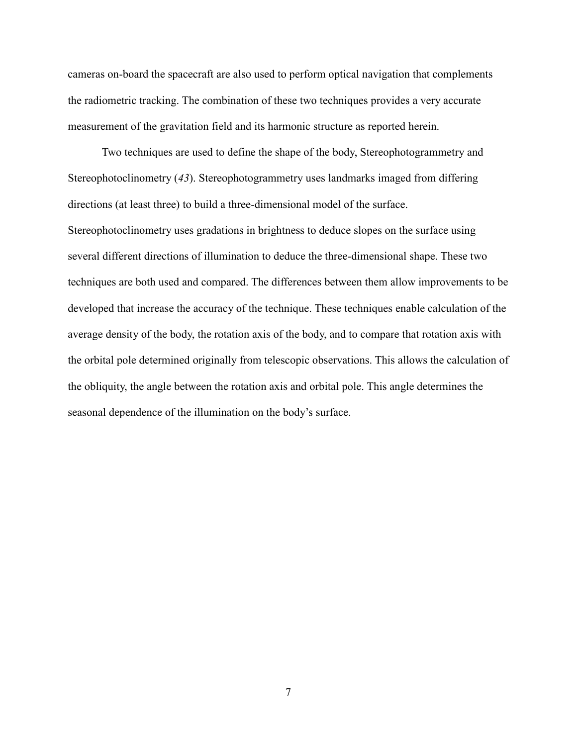cameras on-board the spacecraft are also used to perform optical navigation that complements the radiometric tracking. The combination of these two techniques provides a very accurate measurement of the gravitation field and its harmonic structure as reported herein.

Two techniques are used to define the shape of the body, Stereophotogrammetry and Stereophotoclinometry (*43*). Stereophotogrammetry uses landmarks imaged from differing directions (at least three) to build a three-dimensional model of the surface.

Stereophotoclinometry uses gradations in brightness to deduce slopes on the surface using several different directions of illumination to deduce the three-dimensional shape. These two techniques are both used and compared. The differences between them allow improvements to be developed that increase the accuracy of the technique. These techniques enable calculation of the average density of the body, the rotation axis of the body, and to compare that rotation axis with the orbital pole determined originally from telescopic observations. This allows the calculation of the obliquity, the angle between the rotation axis and orbital pole. This angle determines the seasonal dependence of the illumination on the body's surface.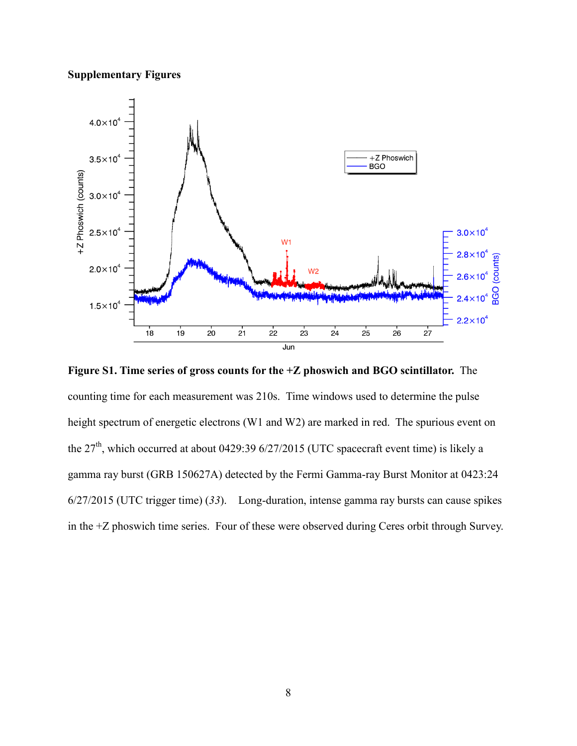# **Supplementary Figures**



**Figure S1. Time series of gross counts for the +Z phoswich and BGO scintillator.** The counting time for each measurement was 210s. Time windows used to determine the pulse height spectrum of energetic electrons (W1 and W2) are marked in red. The spurious event on the  $27<sup>th</sup>$ , which occurred at about 0429:39 6/27/2015 (UTC spacecraft event time) is likely a gamma ray burst (GRB 150627A) detected by the Fermi Gamma-ray Burst Monitor at 0423:24 6/27/2015 (UTC trigger time) (*33*). Long-duration, intense gamma ray bursts can cause spikes in the +Z phoswich time series. Four of these were observed during Ceres orbit through Survey.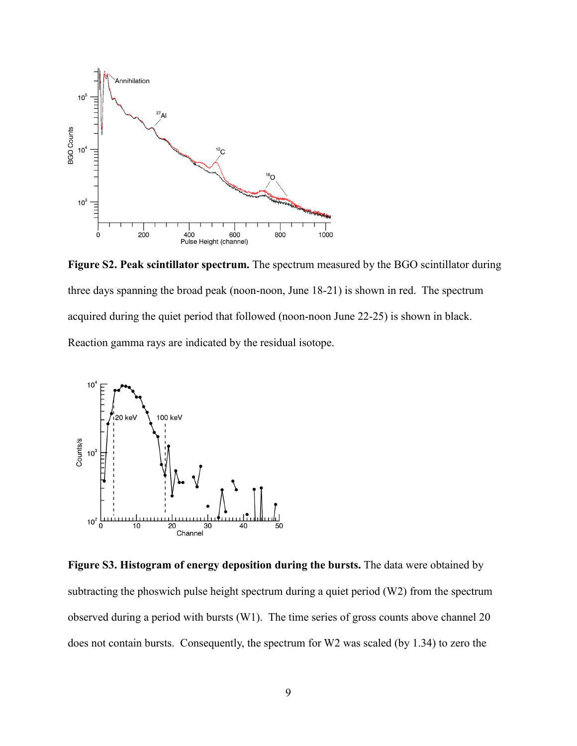

**Figure S2. Peak scintillator spectrum.** The spectrum measured by the BGO scintillator during three days spanning the broad peak (noon-noon, June 18-21) is shown in red. The spectrum acquired during the quiet period that followed (noon-noon June 22-25) is shown in black. Reaction gamma rays are indicated by the residual isotope.



**Figure S3. Histogram of energy deposition during the bursts.** The data were obtained by subtracting the phoswich pulse height spectrum during a quiet period (W2) from the spectrum observed during a period with bursts (W1). The time series of gross counts above channel 20 does not contain bursts. Consequently, the spectrum for W2 was scaled (by 1.34) to zero the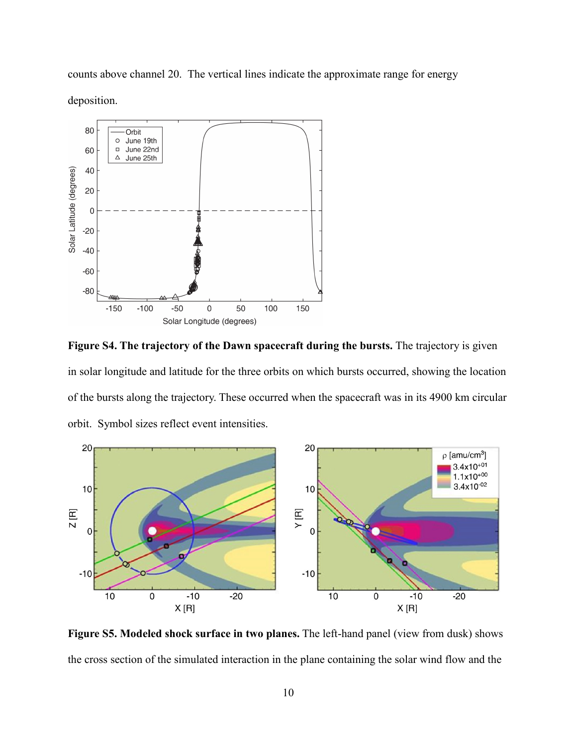counts above channel 20. The vertical lines indicate the approximate range for energy deposition.



**Figure S4. The trajectory of the Dawn spacecraft during the bursts.** The trajectory is given in solar longitude and latitude for the three orbits on which bursts occurred, showing the location of the bursts along the trajectory. These occurred when the spacecraft was in its 4900 km circular orbit. Symbol sizes reflect event intensities.



**Figure S5. Modeled shock surface in two planes.** The left-hand panel (view from dusk) shows the cross section of the simulated interaction in the plane containing the solar wind flow and the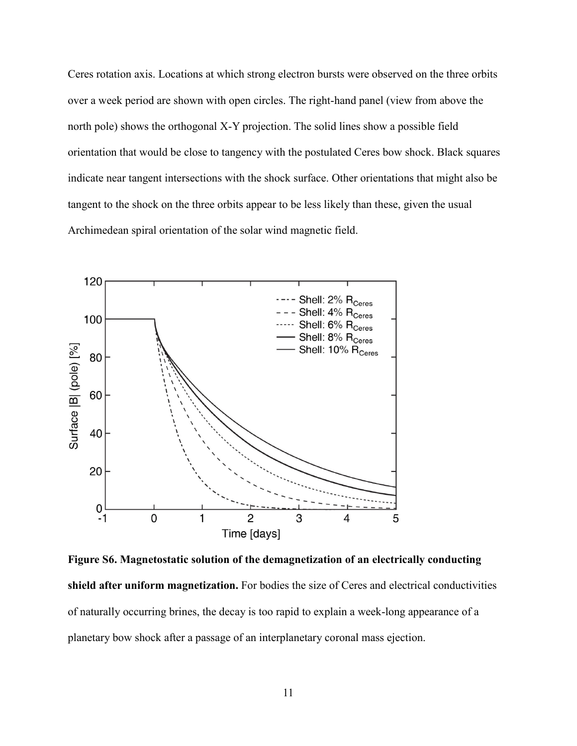Ceres rotation axis. Locations at which strong electron bursts were observed on the three orbits over a week period are shown with open circles. The right-hand panel (view from above the north pole) shows the orthogonal X-Y projection. The solid lines show a possible field orientation that would be close to tangency with the postulated Ceres bow shock. Black squares indicate near tangent intersections with the shock surface. Other orientations that might also be tangent to the shock on the three orbits appear to be less likely than these, given the usual Archimedean spiral orientation of the solar wind magnetic field.



**Figure S6. Magnetostatic solution of the demagnetization of an electrically conducting shield after uniform magnetization.** For bodies the size of Ceres and electrical conductivities of naturally occurring brines, the decay is too rapid to explain a week-long appearance of a planetary bow shock after a passage of an interplanetary coronal mass ejection.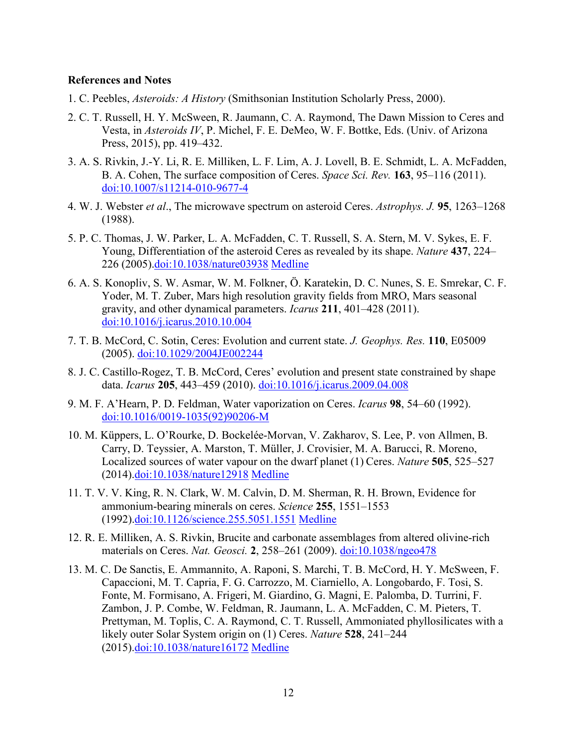## **References and Notes**

- 1. C. Peebles, *Asteroids: A History* (Smithsonian Institution Scholarly Press, 2000).
- 2. C. T. Russell, H. Y. McSween, R. Jaumann, C. A. Raymond, The Dawn Mission to Ceres and Vesta, in *Asteroids IV*, P. Michel, F. E. DeMeo, W. F. Bottke, Eds. (Univ. of Arizona Press, 2015), pp. 419–432.
- 3. A. S. Rivkin, J.-Y. Li, R. E. Milliken, L. F. Lim, A. J. Lovell, B. E. Schmidt, L. A. McFadden, B. A. Cohen, The surface composition of Ceres. *Space Sci. Rev.* **163**, 95–116 (2011). [doi:10.1007/s11214-010-9677-4](http://dx.doi.org/10.1007/s11214-010-9677-4)
- 4. W. J. Webster *et al*., The microwave spectrum on asteroid Ceres. *Astrophys. J.* **95**, 1263–1268 (1988).
- 5. P. C. Thomas, J. W. Parker, L. A. McFadden, C. T. Russell, S. A. Stern, M. V. Sykes, E. F. Young, Differentiation of the asteroid Ceres as revealed by its shape. *Nature* **437**, 224– 226 (2005)[.doi:10.1038/nature03938](http://dx.doi.org/10.1038/nature03938) [Medline](http://www.ncbi.nlm.nih.gov/entrez/query.fcgi?cmd=Retrieve&db=PubMed&list_uids=16148926&dopt=Abstract)
- 6. A. S. Konopliv, S. W. Asmar, W. M. Folkner, Ö. Karatekin, D. C. Nunes, S. E. Smrekar, C. F. Yoder, M. T. Zuber, Mars high resolution gravity fields from MRO, Mars seasonal gravity, and other dynamical parameters. *Icarus* **211**, 401–428 (2011). [doi:10.1016/j.icarus.2010.10.004](http://dx.doi.org/10.1016/j.icarus.2010.10.004)
- 7. T. B. McCord, C. Sotin, Ceres: Evolution and current state. *J. Geophys. Res.* **110**, E05009 (2005). [doi:10.1029/2004JE002244](http://dx.doi.org/10.1029/2004JE002244)
- 8. J. C. Castillo-Rogez, T. B. McCord, Ceres' evolution and present state constrained by shape data. *Icarus* **205**, 443–459 (2010). [doi:10.1016/j.icarus.2009.04.008](http://dx.doi.org/10.1016/j.icarus.2009.04.008)
- 9. M. F. A'Hearn, P. D. Feldman, Water vaporization on Ceres. *Icarus* **98**, 54–60 (1992). [doi:10.1016/0019-1035\(92\)90206-M](http://dx.doi.org/10.1016/0019-1035(92)90206-M)
- 10. M. Küppers, L. O'Rourke, D. Bockelée-Morvan, V. Zakharov, S. Lee, P. von Allmen, B. Carry, D. Teyssier, A. Marston, T. Müller, J. Crovisier, M. A. Barucci, R. Moreno, Localized sources of water vapour on the dwarf planet (1) Ceres. *Nature* **505**, 525–527 (2014)[.doi:10.1038/nature12918](http://dx.doi.org/10.1038/nature12918) [Medline](http://www.ncbi.nlm.nih.gov/entrez/query.fcgi?cmd=Retrieve&db=PubMed&list_uids=24451541&dopt=Abstract)
- 11. T. V. V. King, R. N. Clark, W. M. Calvin, D. M. Sherman, R. H. Brown, Evidence for ammonium-bearing minerals on ceres. *Science* **255**, 1551–1553 (1992)[.doi:10.1126/science.255.5051.1551](http://dx.doi.org/10.1126/science.255.5051.1551) [Medline](http://www.ncbi.nlm.nih.gov/entrez/query.fcgi?cmd=Retrieve&db=PubMed&list_uids=17820166&dopt=Abstract)
- 12. R. E. Milliken, A. S. Rivkin, Brucite and carbonate assemblages from altered olivine-rich materials on Ceres. *Nat. Geosci.* **2**, 258–261 (2009). [doi:10.1038/ngeo478](http://dx.doi.org/10.1038/ngeo478)
- 13. M. C. De Sanctis, E. Ammannito, A. Raponi, S. Marchi, T. B. McCord, H. Y. McSween, F. Capaccioni, M. T. Capria, F. G. Carrozzo, M. Ciarniello, A. Longobardo, F. Tosi, S. Fonte, M. Formisano, A. Frigeri, M. Giardino, G. Magni, E. Palomba, D. Turrini, F. Zambon, J. P. Combe, W. Feldman, R. Jaumann, L. A. McFadden, C. M. Pieters, T. Prettyman, M. Toplis, C. A. Raymond, C. T. Russell, Ammoniated phyllosilicates with a likely outer Solar System origin on (1) Ceres. *Nature* **528**, 241–244 (2015)[.doi:10.1038/nature16172](http://dx.doi.org/10.1038/nature16172) [Medline](http://www.ncbi.nlm.nih.gov/entrez/query.fcgi?cmd=Retrieve&db=PubMed&list_uids=26659184&dopt=Abstract)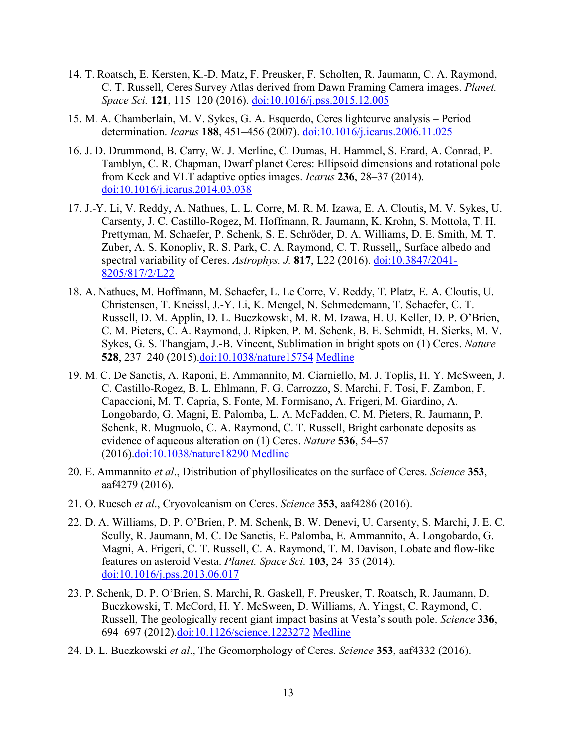- 14. T. Roatsch, E. Kersten, K.-D. Matz, F. Preusker, F. Scholten, R. Jaumann, C. A. Raymond, C. T. Russell, Ceres Survey Atlas derived from Dawn Framing Camera images. *Planet. Space Sci.* **121**, 115–120 (2016). [doi:10.1016/j.pss.2015.12.005](http://dx.doi.org/10.1016/j.pss.2015.12.005)
- 15. M. A. Chamberlain, M. V. Sykes, G. A. Esquerdo, Ceres lightcurve analysis Period determination. *Icarus* **188**, 451–456 (2007). [doi:10.1016/j.icarus.2006.11.025](http://dx.doi.org/10.1016/j.icarus.2006.11.025)
- 16. J. D. Drummond, B. Carry, W. J. Merline, C. Dumas, H. Hammel, S. Erard, A. Conrad, P. Tamblyn, C. R. Chapman, Dwarf planet Ceres: Ellipsoid dimensions and rotational pole from Keck and VLT adaptive optics images. *Icarus* **236**, 28–37 (2014). [doi:10.1016/j.icarus.2014.03.038](http://dx.doi.org/10.1016/j.icarus.2014.03.038)
- 17. J.-Y. Li, V. Reddy, A. Nathues, L. L. Corre, M. R. M. Izawa, E. A. Cloutis, M. V. Sykes, U. Carsenty, J. C. Castillo-Rogez, M. Hoffmann, R. Jaumann, K. Krohn, S. Mottola, T. H. Prettyman, M. Schaefer, P. Schenk, S. E. Schröder, D. A. Williams, D. E. Smith, M. T. Zuber, A. S. Konopliv, R. S. Park, C. A. Raymond, C. T. Russell,, Surface albedo and spectral variability of Ceres. *Astrophys. J.* **817**, L22 (2016). [doi:10.3847/2041-](http://dx.doi.org/10.3847/2041-8205/817/2/L22) [8205/817/2/L22](http://dx.doi.org/10.3847/2041-8205/817/2/L22)
- 18. A. Nathues, M. Hoffmann, M. Schaefer, L. Le Corre, V. Reddy, T. Platz, E. A. Cloutis, U. Christensen, T. Kneissl, J.-Y. Li, K. Mengel, N. Schmedemann, T. Schaefer, C. T. Russell, D. M. Applin, D. L. Buczkowski, M. R. M. Izawa, H. U. Keller, D. P. O'Brien, C. M. Pieters, C. A. Raymond, J. Ripken, P. M. Schenk, B. E. Schmidt, H. Sierks, M. V. Sykes, G. S. Thangjam, J.-B. Vincent, Sublimation in bright spots on (1) Ceres. *Nature* **528**, 237–240 (2015)[.doi:10.1038/nature15754](http://dx.doi.org/10.1038/nature15754) [Medline](http://www.ncbi.nlm.nih.gov/entrez/query.fcgi?cmd=Retrieve&db=PubMed&list_uids=26659183&dopt=Abstract)
- 19. M. C. De Sanctis, A. Raponi, E. Ammannito, M. Ciarniello, M. J. Toplis, H. Y. McSween, J. C. Castillo-Rogez, B. L. Ehlmann, F. G. Carrozzo, S. Marchi, F. Tosi, F. Zambon, F. Capaccioni, M. T. Capria, S. Fonte, M. Formisano, A. Frigeri, M. Giardino, A. Longobardo, G. Magni, E. Palomba, L. A. McFadden, C. M. Pieters, R. Jaumann, P. Schenk, R. Mugnuolo, C. A. Raymond, C. T. Russell, Bright carbonate deposits as evidence of aqueous alteration on (1) Ceres. *Nature* **536**, 54–57 (2016)[.doi:10.1038/nature18290](http://dx.doi.org/10.1038/nature18290) [Medline](http://www.ncbi.nlm.nih.gov/entrez/query.fcgi?cmd=Retrieve&db=PubMed&list_uids=27362221&dopt=Abstract)
- 20. E. Ammannito *et al*., Distribution of phyllosilicates on the surface of Ceres. *Science* **353**, aaf4279 (2016).
- 21. O. Ruesch *et al*., Cryovolcanism on Ceres. *Science* **353**, aaf4286 (2016).
- 22. D. A. Williams, D. P. O'Brien, P. M. Schenk, B. W. Denevi, U. Carsenty, S. Marchi, J. E. C. Scully, R. Jaumann, M. C. De Sanctis, E. Palomba, E. Ammannito, A. Longobardo, G. Magni, A. Frigeri, C. T. Russell, C. A. Raymond, T. M. Davison, Lobate and flow-like features on asteroid Vesta. *Planet. Space Sci.* **103**, 24–35 (2014). [doi:10.1016/j.pss.2013.06.017](http://dx.doi.org/10.1016/j.pss.2013.06.017)
- 23. P. Schenk, D. P. O'Brien, S. Marchi, R. Gaskell, F. Preusker, T. Roatsch, R. Jaumann, D. Buczkowski, T. McCord, H. Y. McSween, D. Williams, A. Yingst, C. Raymond, C. Russell, The geologically recent giant impact basins at Vesta's south pole. *Science* **336**, 694–697 (2012)[.doi:10.1126/science.1223272](http://dx.doi.org/10.1126/science.1223272) [Medline](http://www.ncbi.nlm.nih.gov/entrez/query.fcgi?cmd=Retrieve&db=PubMed&list_uids=22582256&dopt=Abstract)
- 24. D. L. Buczkowski *et al*., The Geomorphology of Ceres. *Science* **353**, aaf4332 (2016).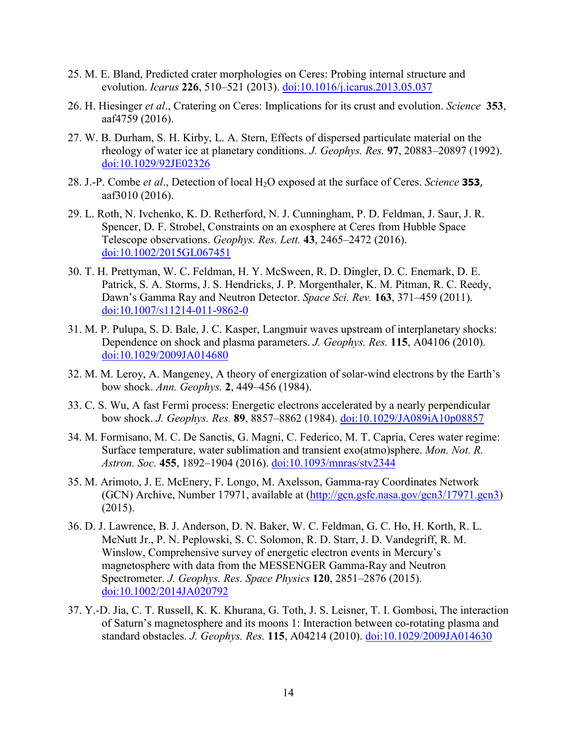- 25. M. E. Bland, Predicted crater morphologies on Ceres: Probing internal structure and evolution. *Icarus* **226**, 510–521 (2013). [doi:10.1016/j.icarus.2013.05.037](http://dx.doi.org/10.1016/j.icarus.2013.05.037)
- 26. H. Hiesinger *et al*., Cratering on Ceres: Implications for its crust and evolution. *Science* **353**, aaf4759 (2016).
- 27. W. B. Durham, S. H. Kirby, L. A. Stern, Effects of dispersed particulate material on the rheology of water ice at planetary conditions. *J. Geophys. Res.* **97**, 20883–20897 (1992). [doi:10.1029/92JE02326](http://dx.doi.org/10.1029/92JE02326)
- 28. J.-P. Combe *et al*., Detection of local H2O exposed at the surface of Ceres. *Science* **353**, aaf3010 (2016).
- 29. L. Roth, N. Ivchenko, K. D. Retherford, N. J. Cunningham, P. D. Feldman, J. Saur, J. R. Spencer, D. F. Strobel, Constraints on an exosphere at Ceres from Hubble Space Telescope observations. *Geophys. Res. Lett.* **43**, 2465–2472 (2016). [doi:10.1002/2015GL067451](http://dx.doi.org/10.1002/2015GL067451)
- 30. T. H. Prettyman, W. C. Feldman, H. Y. McSween, R. D. Dingler, D. C. Enemark, D. E. Patrick, S. A. Storms, J. S. Hendricks, J. P. Morgenthaler, K. M. Pitman, R. C. Reedy, Dawn's Gamma Ray and Neutron Detector. *Space Sci. Rev.* **163**, 371–459 (2011). [doi:10.1007/s11214-011-9862-0](http://dx.doi.org/10.1007/s11214-011-9862-0)
- 31. M. P. Pulupa, S. D. Bale, J. C. Kasper, Langmuir waves upstream of interplanetary shocks: Dependence on shock and plasma parameters. *J. Geophys. Res.* **115**, A04106 (2010). [doi:10.1029/2009JA014680](http://dx.doi.org/10.1029/2009JA014680)
- 32. M. M. Leroy, A. Mangeney, A theory of energization of solar-wind electrons by the Earth's bow shock. *Ann. Geophys.* **2**, 449–456 (1984).
- 33. C. S. Wu, A fast Fermi process: Energetic electrons accelerated by a nearly perpendicular bow shock. *J. Geophys. Res.* **89**, 8857–8862 (1984). [doi:10.1029/JA089iA10p08857](http://dx.doi.org/10.1029/JA089iA10p08857)
- 34. M. Formisano, M. C. De Sanctis, G. Magni, C. Federico, M. T. Capria, Ceres water regime: Surface temperature, water sublimation and transient exo(atmo)sphere. *Mon. Not. R. Astron. Soc.* **455**, 1892–1904 (2016). [doi:10.1093/mnras/stv2344](http://dx.doi.org/10.1093/mnras/stv2344)
- 35. M. Arimoto, J. E. McEnery, F. Longo, M. Axelsson, Gamma-ray Coordinates Network (GCN) Archive, Number 17971, available at [\(http://gcn.gsfc.nasa.gov/gcn3/17971.gcn3\)](http://gcn.gsfc.nasa.gov/gcn3/17971.gcn3) (2015).
- 36. D. J. Lawrence, B. J. Anderson, D. N. Baker, W. C. Feldman, G. C. Ho, H. Korth, R. L. McNutt Jr., P. N. Peplowski, S. C. Solomon, R. D. Starr, J. D. Vandegriff, R. M. Winslow, Comprehensive survey of energetic electron events in Mercury's magnetosphere with data from the MESSENGER Gamma-Ray and Neutron Spectrometer. *J. Geophys. Res. Space Physics* **120**, 2851–2876 (2015). [doi:10.1002/2014JA020792](http://dx.doi.org/10.1002/2014JA020792)
- 37. Y.-D. Jia, C. T. Russell, K. K. Khurana, G. Toth, J. S. Leisner, T. I. Gombosi, The interaction of Saturn's magnetosphere and its moons 1: Interaction between co-rotating plasma and standard obstacles. *J. Geophys. Res.* **115**, A04214 (2010). [doi:10.1029/2009JA014630](http://dx.doi.org/10.1029/2009JA014630)